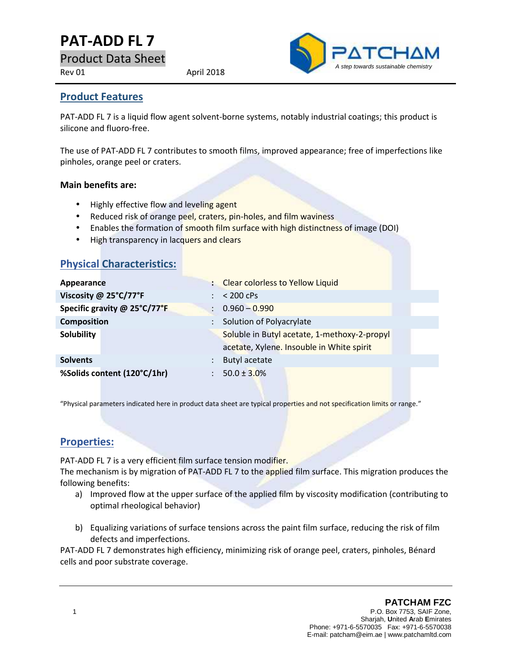# **PAT-ADD FL 7**

Product Data Sheet

Rev 01 April 2018



#### **Product Features**

PAT-ADD FL 7 is a liquid flow agent solvent-borne systems, notably industrial coatings; this product is silicone and fluoro-free.

The use of PAT-ADD FL 7 contributes to smooth films, improved appearance; free of imperfections like pinholes, orange peel or craters.

#### **Main benefits are:**

- Highly effective flow and leveling agent
- Reduced risk of orange peel, craters, pin-holes, and film waviness
- **Enables the formation of smooth film surface with high distinctness of image (DOI)**
- High transparency in lacquers and clears

| <b>Physical Characteristics:</b>           |                                              |
|--------------------------------------------|----------------------------------------------|
| Appearance                                 | : Clear colorless to Yellow Liquid           |
| Viscosity @ 25°C/77°F                      | $< 200$ cPs                                  |
| Specific gravity @ 25°C/77°F               | $0.960 - 0.990$                              |
| <b>Composition</b><br>$\ddot{\phantom{a}}$ | Solution of Polyacrylate                     |
| <b>Solubility</b>                          | Soluble in Butyl acetate, 1-methoxy-2-propyl |
|                                            | acetate, Xylene. Insouble in White spirit    |
| <b>Solvents</b>                            | Butyl acetate                                |
| %Solids content (120°C/1hr)                | $50.0 \pm 3.0\%$                             |
|                                            |                                              |

"Physical parameters indicated here in product data sheet are typical properties and not specification limits or range."

#### **Properties:**

PAT-ADD FL 7 is a very efficient film surface tension modifier.

The mechanism is by migration of PAT-ADD FL 7 to the applied film surface. This migration produces the following benefits:

- a) Improved flow at the upper surface of the applied film by viscosity modification (contributing to optimal rheological behavior)
- b) Equalizing variations of surface tensions across the paint film surface, reducing the risk of film defects and imperfections.

PAT-ADD FL 7 demonstrates high efficiency, minimizing risk of orange peel, craters, pinholes, Bénard cells and poor substrate coverage.